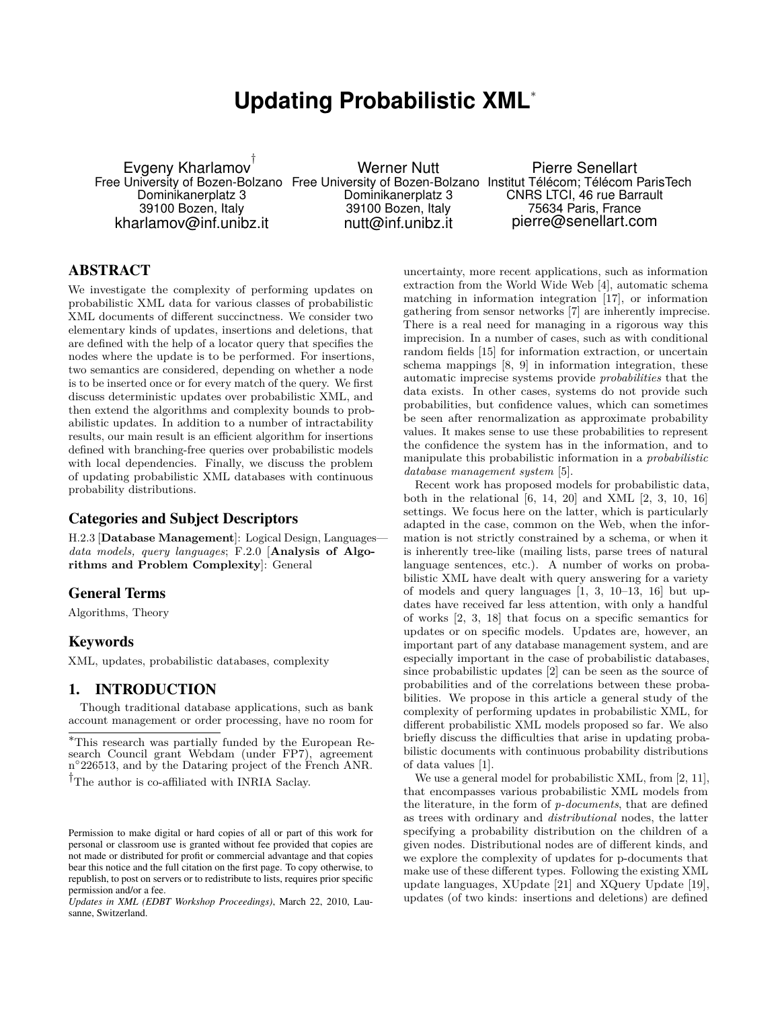# **Updating Probabilistic XML***<sup>∗</sup>*

Evgeny Kharlamov *†* Dominikanerplatz 3 39100 Bozen, Italy kharlamov@inf.unibz.it

Werner Nutt Dominikanerplatz 3 39100 Bozen, Italy nutt@inf.unibz.it

Free University of Bozen-Bolzano Free University of Bozen-Bolzano Institut Télécom; Télécom ParisTech Pierre Senellart CNRS LTCI, 46 rue Barrault 75634 Paris, France pierre@senellart.com

# ABSTRACT

We investigate the complexity of performing updates on probabilistic XML data for various classes of probabilistic XML documents of different succinctness. We consider two elementary kinds of updates, insertions and deletions, that are defined with the help of a locator query that specifies the nodes where the update is to be performed. For insertions, two semantics are considered, depending on whether a node is to be inserted once or for every match of the query. We first discuss deterministic updates over probabilistic XML, and then extend the algorithms and complexity bounds to probabilistic updates. In addition to a number of intractability results, our main result is an efficient algorithm for insertions defined with branching-free queries over probabilistic models with local dependencies. Finally, we discuss the problem of updating probabilistic XML databases with continuous probability distributions.

#### Categories and Subject Descriptors

H.2.3 [**Database Management**]: Logical Design, Languages *data models, query languages*; F.2.0 [**Analysis of Algorithms and Problem Complexity**]: General

# General Terms

Algorithms, Theory

# Keywords

XML, updates, probabilistic databases, complexity

## 1. INTRODUCTION

Though traditional database applications, such as bank account management or order processing, have no room for

*†*The author is co-affiliated with INRIA Saclay.

*Updates in XML (EDBT Workshop Proceedings)*, March 22, 2010, Lausanne, Switzerland.

uncertainty, more recent applications, such as information extraction from the World Wide Web [4], automatic schema matching in information integration [17], or information gathering from sensor networks [7] are inherently imprecise. There is a real need for managing in a rigorous way this imprecision. In a number of cases, such as with conditional random fields [15] for information extraction, or uncertain schema mappings [8, 9] in information integration, these automatic imprecise systems provide *probabilities* that the data exists. In other cases, systems do not provide such probabilities, but confidence values, which can sometimes be seen after renormalization as approximate probability values. It makes sense to use these probabilities to represent the confidence the system has in the information, and to manipulate this probabilistic information in a *probabilistic database management system* [5].

Recent work has proposed models for probabilistic data, both in the relational [6, 14, 20] and XML [2, 3, 10, 16] settings. We focus here on the latter, which is particularly adapted in the case, common on the Web, when the information is not strictly constrained by a schema, or when it is inherently tree-like (mailing lists, parse trees of natural language sentences, etc.). A number of works on probabilistic XML have dealt with query answering for a variety of models and query languages [1, 3, 10–13, 16] but updates have received far less attention, with only a handful of works [2, 3, 18] that focus on a specific semantics for updates or on specific models. Updates are, however, an important part of any database management system, and are especially important in the case of probabilistic databases, since probabilistic updates [2] can be seen as the source of probabilities and of the correlations between these probabilities. We propose in this article a general study of the complexity of performing updates in probabilistic XML, for different probabilistic XML models proposed so far. We also briefly discuss the difficulties that arise in updating probabilistic documents with continuous probability distributions of data values [1].

We use a general model for probabilistic XML, from [2, 11], that encompasses various probabilistic XML models from the literature, in the form of *p-documents*, that are defined as trees with ordinary and *distributional* nodes, the latter specifying a probability distribution on the children of a given nodes. Distributional nodes are of different kinds, and we explore the complexity of updates for p-documents that make use of these different types. Following the existing XML update languages, XUpdate [21] and XQuery Update [19], updates (of two kinds: insertions and deletions) are defined

*<sup>∗</sup>*This research was partially funded by the European Research Council grant Webdam (under FP7), agreement n<sup>°</sup>226513, and by the Dataring project of the French ANR.

Permission to make digital or hard copies of all or part of this work for personal or classroom use is granted without fee provided that copies are not made or distributed for profit or commercial advantage and that copies bear this notice and the full citation on the first page. To copy otherwise, to republish, to post on servers or to redistribute to lists, requires prior specific permission and/or a fee.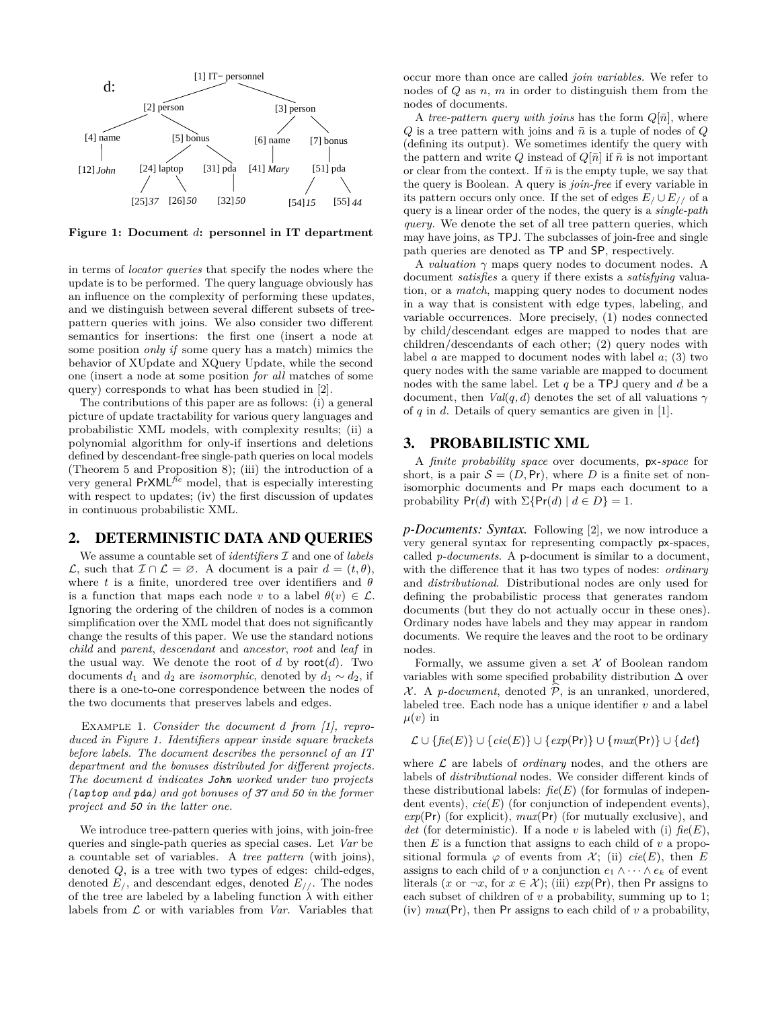

**Figure 1: Document** *d***: personnel in IT department**

in terms of *locator queries* that specify the nodes where the update is to be performed. The query language obviously has an influence on the complexity of performing these updates, and we distinguish between several different subsets of treepattern queries with joins. We also consider two different semantics for insertions: the first one (insert a node at some position *only if* some query has a match) mimics the behavior of XUpdate and XQuery Update, while the second one (insert a node at some position *for all* matches of some query) corresponds to what has been studied in [2].

The contributions of this paper are as follows: (i) a general picture of update tractability for various query languages and probabilistic XML models, with complexity results; (ii) a polynomial algorithm for only-if insertions and deletions defined by descendant-free single-path queries on local models (Theorem 5 and Proposition 8); (iii) the introduction of a very general PrXML*fie* model, that is especially interesting with respect to updates; (iv) the first discussion of updates in continuous probabilistic XML.

#### 2. DETERMINISTIC DATA AND QUERIES

We assume a countable set of *identifiers I* and one of *labels L*, such that  $I ∩ L = ∅$ . A document is a pair  $d = (t, \theta)$ , where *t* is a finite, unordered tree over identifiers and *θ* is a function that maps each node *v* to a label  $\theta(v) \in \mathcal{L}$ . Ignoring the ordering of the children of nodes is a common simplification over the XML model that does not significantly change the results of this paper. We use the standard notions *child* and *parent*, *descendant* and *ancestor*, *root* and *leaf* in the usual way. We denote the root of  $d$  by root $(d)$ . Two documents  $d_1$  and  $d_2$  are *isomorphic*, denoted by  $d_1 \sim d_2$ , if there is a one-to-one correspondence between the nodes of the two documents that preserves labels and edges.

Example 1. *Consider the document d from [1], reproduced in Figure 1. Identifiers appear inside square brackets before labels. The document describes the personnel of an IT department and the bonuses distributed for different projects. The document d indicates John worked under two projects (laptop and pda) and got bonuses of 37 and 50 in the former project and 50 in the latter one.*

We introduce tree-pattern queries with joins, with join-free queries and single-path queries as special cases. Let *Var* be a countable set of variables. A *tree pattern* (with joins), denoted *Q*, is a tree with two types of edges: child-edges, denoted  $E_j$ , and descendant edges, denoted  $E_{j}$ . The nodes of the tree are labeled by a labeling function  $\lambda$  with either labels from *L* or with variables from *Var*. Variables that

occur more than once are called *join variables.* We refer to nodes of *Q* as *n*, *m* in order to distinguish them from the nodes of documents.

A *tree-pattern query with joins* has the form  $Q[\bar{n}]$ , where  $Q$  is a tree pattern with joins and  $\bar{n}$  is a tuple of nodes of  $Q$ (defining its output). We sometimes identify the query with the pattern and write *Q* instead of  $Q[\bar{n}]$  if  $\bar{n}$  is not important or clear from the context. If  $\bar{n}$  is the empty tuple, we say that the query is Boolean. A query is *join-free* if every variable in its pattern occurs only once. If the set of edges  $E / \cup E / / \sigma f$  a query is a linear order of the nodes, the query is a *single-path query.* We denote the set of all tree pattern queries, which may have joins, as TPJ. The subclasses of join-free and single path queries are denoted as TP and SP, respectively.

A *valuation*  $\gamma$  maps query nodes to document nodes. A document *satisfies* a query if there exists a *satisfying* valuation, or a *match*, mapping query nodes to document nodes in a way that is consistent with edge types, labeling, and variable occurrences. More precisely, (1) nodes connected by child/descendant edges are mapped to nodes that are children/descendants of each other; (2) query nodes with label *a* are mapped to document nodes with label *a*; (3) two query nodes with the same variable are mapped to document nodes with the same label. Let *q* be a TPJ query and *d* be a document, then *Val*(*q, d*) denotes the set of all valuations  $\gamma$ of *q* in *d*. Details of query semantics are given in [1].

#### 3. PROBABILISTIC XML

A *finite probability space* over documents, px*-space* for short, is a pair  $S = (D, Pr)$ , where *D* is a finite set of nonisomorphic documents and Pr maps each document to a probability  $Pr(d)$  with  $\Sigma\{Pr(d) | d \in D\} = 1$ .

*p-Documents: Syntax.* Following [2], we now introduce a very general syntax for representing compactly px-spaces, called *p-documents*. A p-document is similar to a document, with the difference that it has two types of nodes: *ordinary* and *distributional*. Distributional nodes are only used for defining the probabilistic process that generates random documents (but they do not actually occur in these ones). Ordinary nodes have labels and they may appear in random documents. We require the leaves and the root to be ordinary nodes.

Formally, we assume given a set *X* of Boolean random variables with some specified probability distribution ∆ over *X*. A *p-document*, denoted  $\hat{P}$ , is an unranked, unordered, labeled tree. Each node has a unique identifier *v* and a label  $\mu(v)$  in

$$
\mathcal{L} \cup \{ \mathit{fie}(E) \} \cup \{ \mathit{cie}(E) \} \cup \{ \mathit{exp}(\mathsf{Pr}) \} \cup \{ \mathit{mux}(\mathsf{Pr}) \} \cup \{ \mathit{det} \}
$$

where  $\mathcal L$  are labels of *ordinary* nodes, and the others are labels of *distributional* nodes. We consider different kinds of these distributional labels: *fie*(*E*) (for formulas of independent events),  $cie(E)$  (for conjunction of independent events), *exp*(Pr) (for explicit), *mux*(Pr) (for mutually exclusive), and *det* (for deterministic). If a node *v* is labeled with (i)  $\text{fie}(E)$ , then *E* is a function that assigns to each child of *v* a propositional formula  $\varphi$  of events from *X*; (ii)  $cie(E)$ , then *E* assigns to each child of *v* a conjunction  $e_1 \wedge \cdots \wedge e_k$  of event literals (*x* or  $\neg x$ , for  $x \in \mathcal{X}$ ); (iii)  $exp(\Pr)$ , then Pr assigns to each subset of children of *v* a probability, summing up to 1; (iv) *mux*(Pr), then Pr assigns to each child of *v* a probability,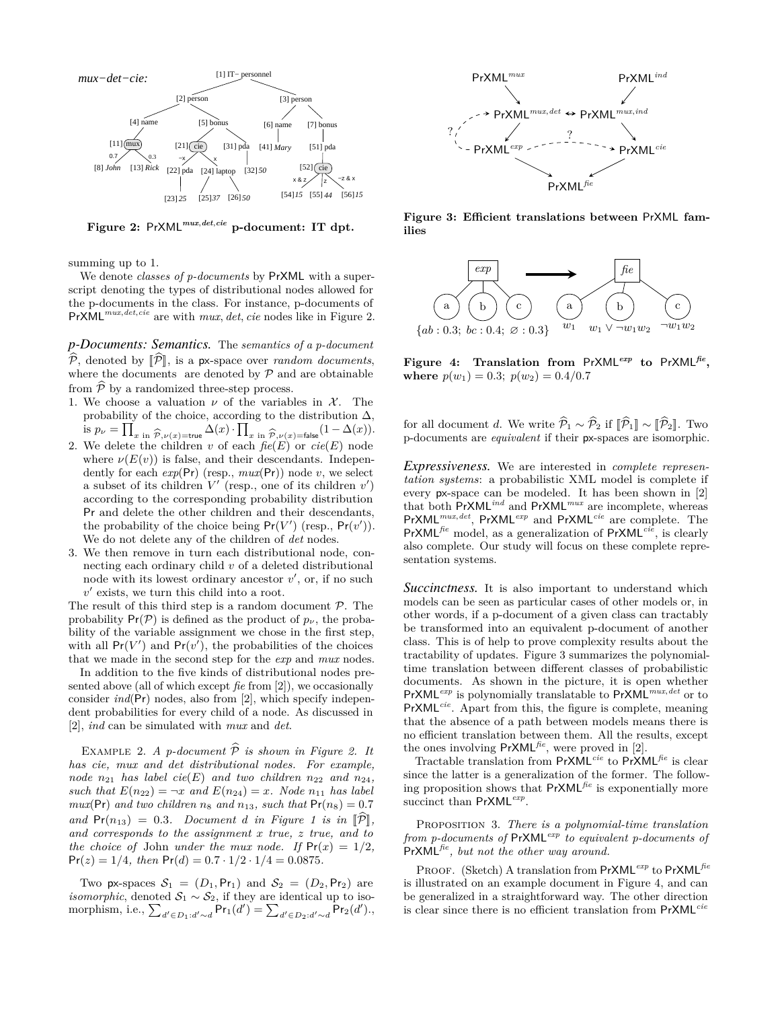

**Figure 2:** PrXML*mux,det,cie* **p-document: IT dpt.**

summing up to 1.

We denote *classes of p-documents* by PrXML with a superscript denoting the types of distributional nodes allowed for the p-documents in the class. For instance, p-documents of PrXML*mux,det,cie* are with *mux, det, cie* nodes like in Figure 2.

*p-Documents: Semantics.* The *semantics of a p-document*  $\widehat{\mathcal{P}}$ , denoted by  $\llbracket \widehat{\mathcal{P}} \rrbracket$ , is a px-space over *random documents*, where the documents are denoted by  $P$  and are obtainable from  $\widehat{\mathcal{P}}$  by a randomized three-step process.

- 1. We choose a valuation  $\nu$  of the variables in  $\mathcal{X}$ . The probability of the choice, according to the distribution  $\Delta$ , is  $p_{\nu} = \prod_{x \text{ in } \widehat{\mathcal{P}}, \nu(x) = \text{true}} \Delta(x) \cdot \prod_{x \text{ in } \widehat{\mathcal{P}}, \nu(x) = \text{false}} (1 - \Delta(x)).$ <br>2. We delete the children v of each  $fie(E)$  or  $cie(E)$  node
- where  $\nu(E(v))$  is false, and their descendants. Independently for each  $exp(\Pr)$  (resp.,  $max(\Pr)$ ) node *v*, we select a subset of its children  $V'$  (resp., one of its children  $v'$ ) according to the corresponding probability distribution Pr and delete the other children and their descendants, the probability of the choice being  $Pr(V')$  (resp.,  $Pr(v')$ ). We do not delete any of the children of *det* nodes.
- 3. We then remove in turn each distributional node, connecting each ordinary child *v* of a deleted distributional node with its lowest ordinary ancestor  $v'$ , or, if no such  $v'$  exists, we turn this child into a root.

The result of this third step is a random document *P*. The probability  $Pr(\mathcal{P})$  is defined as the product of  $p_{\nu}$ , the probability of the variable assignment we chose in the first step, with all  $Pr(V')$  and  $Pr(v')$ , the probabilities of the choices that we made in the second step for the *exp* and *mux* nodes.

In addition to the five kinds of distributional nodes presented above (all of which except *fie* from [2]), we occasionally consider *ind*(Pr) nodes, also from [2], which specify independent probabilities for every child of a node. As discussed in [2], *ind* can be simulated with *mux* and *det*.

EXAMPLE 2. *A p-document*  $\widehat{P}$  *is shown in Figure 2. It has cie, mux and det distributional nodes. For example, node*  $n_{21}$  *has label cie(E) and two children*  $n_{22}$  *and*  $n_{24}$ *, such that*  $E(n_{22}) = -x$  *and*  $E(n_{24}) = x$ *. Node*  $n_{11}$  *has label mux*( $Pr$ ) *and two children*  $n_8$  *and*  $n_{13}$ *, such that*  $Pr(n_8) = 0.7$  $and \Pr(n_{13}) = 0.3$ *. Document d in Figure 1 is in*  $\hat{\mathbb{P}}$ . *and corresponds to the assignment x true, z true, and to the choice of* John *under the mux node.* If  $Pr(x) = 1/2$ ,  $Pr(z) = 1/4$ , then  $Pr(d) = 0.7 \cdot 1/2 \cdot 1/4 = 0.0875$ .

Two px-spaces  $S_1 = (D_1, Pr_1)$  and  $S_2 = (D_2, Pr_2)$  are *isomorphic*, denoted  $S_1 \sim S_2$ , if they are identical up to isomorphism, i.e.,  $\sum_{d' \in D_1:d' \sim d} Pr_1(d') = \sum_{d' \in D_2:d' \sim d} Pr_2(d')$ .,



**Figure 3: Efficient translations between** PrXML **families**



**Figure 4: Translation from** PrXML*exp* **to** PrXML*fie* **, where**  $p(w_1) = 0.3$ ;  $p(w_2) = 0.4/0.7$ 

for all document *d*. We write  $\widehat{\mathcal{P}}_1 \sim \widehat{\mathcal{P}}_2$  if  $\llbracket \widehat{\mathcal{P}}_1 \rrbracket \sim \llbracket \widehat{\mathcal{P}}_2 \rrbracket$ . Two p-documents are *equivalent* if their px-spaces are isomorphic.

*Expressiveness.* We are interested in *complete representation systems*: a probabilistic XML model is complete if every px-space can be modeled. It has been shown in [2] that both PrXML*ind* and PrXML*mux* are incomplete, whereas PrXML*mux,det* , PrXML*exp* and PrXML*cie* are complete. The PrXML*fie* model, as a generalization of PrXML*cie*, is clearly also complete. Our study will focus on these complete representation systems.

*Succinctness.* It is also important to understand which models can be seen as particular cases of other models or, in other words, if a p-document of a given class can tractably be transformed into an equivalent p-document of another class. This is of help to prove complexity results about the tractability of updates. Figure 3 summarizes the polynomialtime translation between different classes of probabilistic documents. As shown in the picture, it is open whether PrXML*exp* is polynomially translatable to PrXML*mux,det* or to PrXML*cie*. Apart from this, the figure is complete, meaning that the absence of a path between models means there is no efficient translation between them. All the results, except the ones involving PrXML*fie*, were proved in [2].

Tractable translation from PrXML*cie* to PrXML*fie* is clear since the latter is a generalization of the former. The following proposition shows that PrXML*fie* is exponentially more succinct than PrXML*exp* .

Proposition 3. *There is a polynomial-time translation from p-documents of* PrXML*exp to equivalent p-documents of* PrXML*fie, but not the other way around.*

Proof. (Sketch) A translation from PrXML*exp* to PrXML*fie* is illustrated on an example document in Figure 4, and can be generalized in a straightforward way. The other direction is clear since there is no efficient translation from PrXML*cie*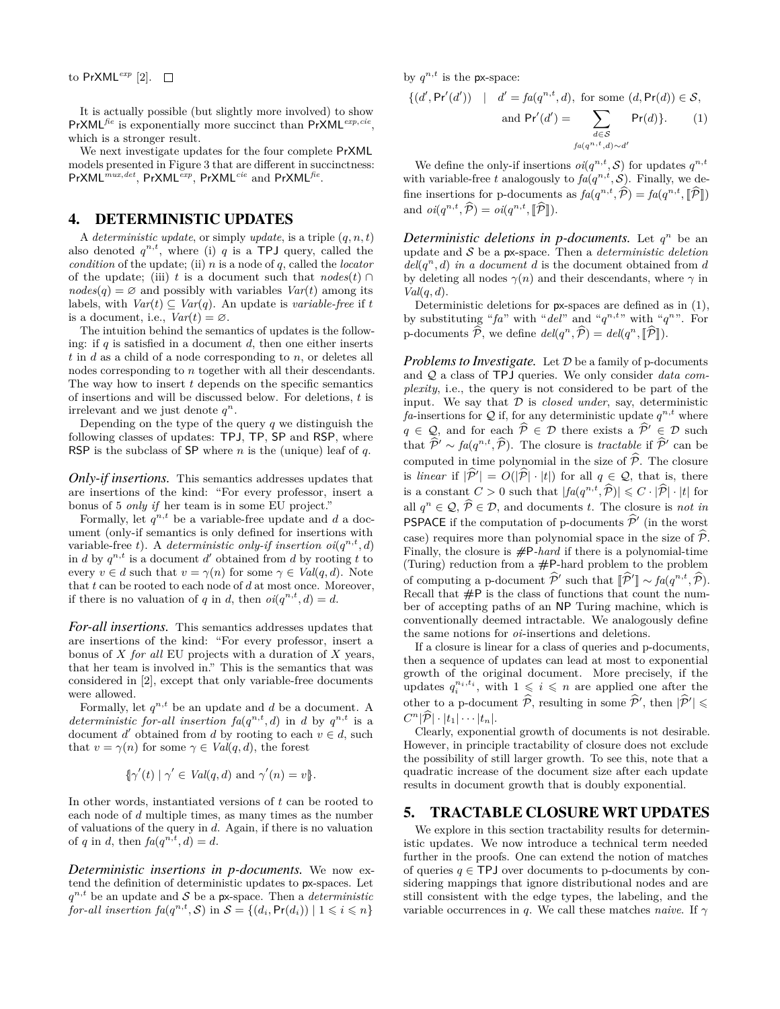It is actually possible (but slightly more involved) to show PrXML*fie* is exponentially more succinct than PrXML*exp,cie* , which is a stronger result.

We next investigate updates for the four complete PrXML models presented in Figure 3 that are different in succinctness: PrXML<sup>*mux<sub></sub>,det</sup>*, PrXML<sup>*cxp*</sup>, PrXML<sup>*cie*</sup> and PrXML<sup>fie</sup>.</sup>

# 4. DETERMINISTIC UPDATES

A *deterministic update*, or simply *update*, is a triple (*q, n, t*) also denoted  $q^{n,t}$ , where (i)  $q$  is a TPJ query, called the *condition* of the update; (ii) *n* is a node of *q*, called the *locator* of the update; (iii) *t* is a document such that  $nodes(t) \cap$  $nodes(q) = \emptyset$  and possibly with variables  $Var(t)$  among its labels, with  $Var(t) \subseteq Var(q)$ . An update is *variable-free* if *t* is a document, i.e.,  $Var(t) = \emptyset$ .

The intuition behind the semantics of updates is the following: if *q* is satisfied in a document *d*, then one either inserts *t* in *d* as a child of a node corresponding to *n*, or deletes all nodes corresponding to *n* together with all their descendants. The way how to insert *t* depends on the specific semantics of insertions and will be discussed below. For deletions, *t* is irrelevant and we just denote  $q^n$ .

Depending on the type of the query *q* we distinguish the following classes of updates: TPJ, TP, SP and RSP, where RSP is the subclass of SP where *n* is the (unique) leaf of *q*.

*Only-if insertions.* This semantics addresses updates that are insertions of the kind: "For every professor, insert a bonus of 5 *only if* her team is in some EU project."

Formally, let  $q^{n,t}$  be a variable-free update and  $d$  a document (only-if semantics is only defined for insertions with variable-free *t*). A *deterministic only-if insertion*  $oi(q^{n,t}, d)$ in *d* by  $q^{n,t}$  is a document *d'* obtained from *d* by rooting *t* to every  $v \in d$  such that  $v = \gamma(n)$  for some  $\gamma \in Val(q, d)$ . Note that *t* can be rooted to each node of *d* at most once. Moreover, if there is no valuation of *q* in *d*, then  $oi(q^{n,t}, d) = d$ .

*For-all insertions.* This semantics addresses updates that are insertions of the kind: "For every professor, insert a bonus of *X for all* EU projects with a duration of *X* years, that her team is involved in." This is the semantics that was considered in [2], except that only variable-free documents were allowed.

Formally, let  $q^{n,t}$  be an update and  $d$  be a document. A *deterministic for-all insertion*  $fa(q^{n,t}, d)$  in *d* by  $q^{n,t}$  is a document *d'* obtained from *d* by rooting to each  $v \in d$ , such that  $v = \gamma(n)$  for some  $\gamma \in Val(q, d)$ , the forest

$$
\{\gamma'(t) \mid \gamma' \in Val(q, d) \text{ and } \gamma'(n) = v\}.
$$

In other words, instantiated versions of *t* can be rooted to each node of *d* multiple times, as many times as the number of valuations of the query in *d*. Again, if there is no valuation of *q* in *d*, then  $fa(q^{n,t}, d) = d$ .

*Deterministic insertions in p-documents.* We now extend the definition of deterministic updates to px-spaces. Let  $q^{n,t}$  be an update and *S* be a px-space. Then a *deterministic for-all insertion*  $fa(q^{n,t}, \mathcal{S})$  in  $\mathcal{S} = \{(d_i, \mathsf{Pr}(d_i)) \mid 1 \leq i \leq n\}$ 

by  $q^{n,t}$  is the px-space:

$$
\{(d',\Pr'(d')) \mid d' = fa(q^{n,t}, d), \text{ for some } (d, \Pr(d)) \in S,
$$

and 
$$
Pr'(d') = \sum_{\substack{d \in S \\ f a(q^{n,t}, d) \sim d'}} Pr(d) \}.
$$
 (1)

We define the only-if insertions  $oi(q^{n,t}, \mathcal{S})$  for updates  $q^{n,t}$ with variable-free *t* analogously to  $fa(q^{n,t}, \mathcal{S})$ . Finally, we define insertions for p-documents as  $fa(q^{n,t}, \hat{\mathcal{P}}) = fa(q^{n,t}, \hat{\mathbb{P}})$ and  $oi(q^{n,t}, \hat{\mathcal{P}}) = oli(q^{n,t}, [\hat{\mathcal{P}}]).$ 

*Deterministic deletions in p-documents.* Let  $q^n$  be an update and *S* be a px-space. Then a *deterministic deletion*  $del(q^n, d)$  *in a document d* is the document obtained from *d* by deleting all nodes  $\gamma(n)$  and their descendants, where  $\gamma$  in *Val*(*q, d*).

Deterministic deletions for px-spaces are defined as in (1), by substituting " $fa$ " with " $del$ " and " $q^{n,t}$ " with " $q^{n}$ ". For p-documents  $\widehat{\mathcal{P}}$ , we define  $del(q^n, \widehat{\mathcal{P}}) = del(q^n, [\widehat{\mathcal{P}}]).$ 

*Problems to Investigate.* Let  $D$  be a family of p-documents and *Q* a class of TPJ queries. We only consider *data complexity*, i.e., the query is not considered to be part of the input. We say that  $D$  is *closed under*, say, deterministic fa-insertions for  $Q$  if, for any deterministic update  $q^{n,t}$  where *q* ∈ *Q*, and for each  $\widehat{P}$  ∈ *D* there exists a  $\widehat{P}'$  ∈ *D* such that  $\widehat{P}^{\prime} \sim fa(q^{n,t}, \widehat{P})$ . The closure is *tractable* if  $\widehat{P}^{\prime}$  can be computed in time polynomial in the size of  $\hat{\mathcal{P}}$ . The closure is *linear* if  $|\hat{\mathcal{P}}'| = O(|\hat{\mathcal{P}}| \cdot |t|)$  for all  $q \in \mathcal{Q}$ , that is, there is a constant  $C > 0$  such that  $|f_a(q^{n,t}, \hat{\mathcal{P}})| \leq C \cdot |\hat{\mathcal{P}}| \cdot |t|$  for all  $q^n \in \mathcal{Q}, \hat{\mathcal{P}} \in \mathcal{D}$ , and documents *t*. The closure is *not in*<br>**PEDICE** is all the set of the set of the set of the set of the set of the set of the set of the set of the set of the set of the set of the set **PSPACE** if the computation of p-documents  $\hat{\mathcal{P}}'$  (in the worst case) requires more than polynomial space in the size of  $\hat{\mathcal{P}}$ . Finally, the closure is *#*P*-hard* if there is a polynomial-time (Turing) reduction from a **#**P-hard problem to the problem of computing a p-document  $\hat{\mathcal{P}}'$  such that  $[\hat{\mathcal{P}}'] \sim fa(q^{n,t}, \hat{\mathcal{P}})$ .<br>Rocall that *++*  $\hat{P}$  is the class of functions that count the num Recall that **#**P is the class of functions that count the number of accepting paths of an NP Turing machine, which is conventionally deemed intractable. We analogously define the same notions for *oi*-insertions and deletions.

If a closure is linear for a class of queries and p-documents, then a sequence of updates can lead at most to exponential growth of the original document. More precisely, if the updates  $q_i^{n_i, t_i}$ , with  $1 \leqslant i \leqslant n$  are applied one after the other to a p-document  $\widehat{\mathcal{P}}$ , resulting in some  $\widehat{\mathcal{P}}'$ , then  $|\widehat{\mathcal{P}}'| \leq$  $C^n|\widehat{\mathcal{P}}|\cdot|t_1|\cdots|t_n|.$ 

Clearly, exponential growth of documents is not desirable. However, in principle tractability of closure does not exclude the possibility of still larger growth. To see this, note that a quadratic increase of the document size after each update results in document growth that is doubly exponential.

# 5. TRACTABLE CLOSURE WRT UPDATES

We explore in this section tractability results for deterministic updates. We now introduce a technical term needed further in the proofs. One can extend the notion of matches of queries  $q \in \text{TPJ}$  over documents to p-documents by considering mappings that ignore distributional nodes and are still consistent with the edge types, the labeling, and the variable occurrences in *q*. We call these matches *naive*. If *γ*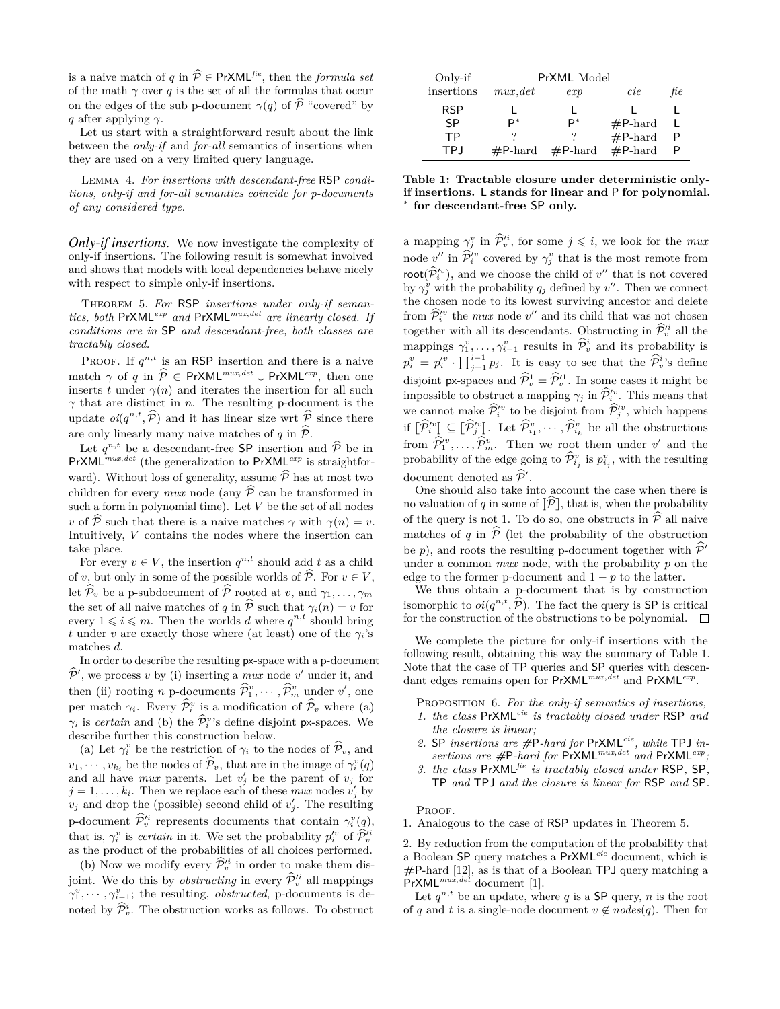is a naive match of *q* in  $\widehat{\mathcal{P}} \in \text{PrXML}^{\hat{he}}$ , then the *formula set* of the math  $\gamma$  over  $q$  is the set of all the formulas that occur on the edges of the sub p-document  $\gamma(q)$  of  $\widehat{P}$  "covered" by *q* after applying *γ*.

Let us start with a straightforward result about the link between the *only-if* and *for-all* semantics of insertions when they are used on a very limited query language.

Lemma 4. *For insertions with descendant-free* RSP *conditions, only-if and for-all semantics coincide for p-documents of any considered type.*

*Only-if insertions.* We now investigate the complexity of only-if insertions. The following result is somewhat involved and shows that models with local dependencies behave nicely with respect to simple only-if insertions.

Theorem 5. *For* RSP *insertions under only-if semantics, both* PrXML*exp and* PrXML*mux,det are linearly closed. If conditions are in* SP *and descendant-free, both classes are tractably closed.*

PROOF. If  $q^{n,t}$  is an RSP insertion and there is a naive match *γ* of *q* in  $\hat{\mathcal{P}} \in \text{PrXML}^{max, det} \cup \text{PrXML}^{exp}$ , then one inserts *t* under  $\gamma(n)$  and iterates the insertion for all such *γ* that are distinct in *n*. The resulting p-document is the update  $oi(q^{n,t}, \hat{P})$  and it has linear size wrt  $\hat{P}$  since there are only linearly many naive matches of  $q$  in  $\hat{P}$ .

Let  $q^{n,t}$  be a descendant-free SP insertion and  $\hat{\mathcal{P}}$  be in PrXML<sup>*exp*</sup> is straightforward). Without loss of generality, assume  $\hat{\mathcal{P}}$  has at most two children for every *mux* node (any  $\hat{\mathcal{P}}$  can be transformed in such a form in polynomial time). Let *V* be the set of all nodes *v* of  $\overline{P}$  such that there is a naive matches  $\gamma$  with  $\gamma(n) = v$ . Intuitively, *V* contains the nodes where the insertion can take place.

For every  $v \in V$ , the insertion  $q^{n,t}$  should add  $t$  as a child of *v*, but only in some of the possible worlds of  $\widehat{\mathcal{P}}$ . For  $v \in V$ , let  $\widehat{\mathcal{P}}_v$  be a p-subdocument of  $\widehat{\mathcal{P}}$  rooted at *v*, and  $\gamma_1, \ldots, \gamma_m$ the set of all naive matches of *q* in  $\hat{\mathcal{P}}$  such that  $\gamma_i(n) = v$  for every  $1 \leq i \leq m$ . Then the worlds *d* where  $q^{n,t}$  should bring *t* under *v* are exactly those where (at least) one of the  $\gamma_i$ 's matches *d*.

In order to describe the resulting px-space with a p-document  $\widehat{P}^{\prime}$ , we process *v* by (i) inserting a *mux* node *v*' under it, and then (ii) rooting *n* p-documents  $\widehat{\mathcal{P}}_1^v, \dots, \widehat{\mathcal{P}}_m^v$  under *v'*, one per match  $\gamma_i$ . Every  $\hat{\mathcal{P}}_i^v$  is a modification of  $\hat{\mathcal{P}}_v$  where (a)  $\gamma_i$  is *certain* and (b) the  $\hat{\mathcal{P}}_i^{\nu}$ 's define disjoint **p**x-spaces. We describe further this construction below.

(a) Let  $\gamma_i^v$  be the restriction of  $\gamma_i$  to the nodes of  $\hat{\mathcal{P}}_v$ , and  $v_1, \dots, v_{k_i}$  be the nodes of  $\widehat{\mathcal{P}}_v$ , that are in the image of  $\gamma_i^v(q)$ and all have *mux* parents. Let  $v'_j$  be the parent of  $v_j$  for  $j = 1, \ldots, k_i$ . Then we replace each of these *mux* nodes  $v'_j$  by  $v_j$  and drop the (possible) second child of  $v'_j$ . The resulting p-document  $\widehat{\mathcal{P}}_v^i$  represents documents that contain  $\gamma_i^v(q)$ , that is,  $\gamma_i^v$  is *certain* in it. We set the probability  $p_i^{\prime v}$  of  $\hat{\mathcal{P}}_v^{i}$ <br>os the product of the probabilities of all choices performed as the product of the probabilities of all choices performed.

(b) Now we modify every  $\widehat{\mathcal{P}}_v^h$  in order to make them disjoint. We do this by *obstructing* in every  $\hat{\mathcal{P}}_{v}^{i}$  all mappings  $\gamma_1^v, \cdots, \gamma_{i-1}^v$ ; the resulting, *obstructed*, p-documents is denoted by  $\hat{\mathcal{P}}_v^i$ . The obstruction works as follows. To obstruct

| Only-if    | PrXML Model       |            |            |     |
|------------|-------------------|------------|------------|-----|
| insertions | mux, det          | exp        | cie        | fie |
| <b>RSP</b> |                   |            |            |     |
| SP         | D*                | D*         | $#P$ -hard |     |
| <b>TP</b>  |                   |            | $#P$ -hard | P   |
| TP.I       | $\#P\text{-hard}$ | $#P$ -hard | $#P$ -hard |     |

**Table 1: Tractable closure under deterministic onlyif insertions.** L **stands for linear and** P **for polynomial.** *∗* **for descendant-free** SP **only.**

a mapping  $\gamma_j^v$  in  $\hat{\mathcal{P}}_v^{i_j}$ , for some  $j \leq i$ , we look for the *mux* node  $v''$  in  $\widehat{\mathcal{P}}_i^{iv}$  covered by  $\gamma_j^v$  that is the most remote from  $\text{root}(\hat{\mathcal{P}}_i^{iv})$ , and we choose the child of  $v''$  that is not covered<br>by  $v''$  with the probability  $\sigma$  defined by  $v''$ . Then we connect by  $\gamma_j^v$  with the probability  $q_j$  defined by  $v''$ . Then we connect the chosen node to its lowest surviving ancestor and delete from  $\hat{\mathcal{P}}_i^{iv}$  the *mux* node  $v''$  and its child that was not chosen together with all its descendants. Obstructing in  $\hat{\mathcal{P}}_v^{i_i}$  all the mappings  $\gamma_1^v, \ldots, \gamma_{i-1}^v$  results in  $\widehat{\mathcal{P}}_v^i$  and its probability is  $p_i^v = p_i^{\prime v} \cdot \prod_{j=1}^{i-1} p_j$ . It is easy to see that the  $\widehat{\mathcal{P}}_v^{i}$ 's define disjoint px-spaces and  $\widehat{\mathcal{P}}_v^1 = \widehat{\mathcal{P}}_v'^1$ . In some cases it might be impossible to obstruct a mapping  $\gamma_j$  in  $\widehat{\mathcal{P}}_i^{iv}$ . This means that we cannot make  $\widehat{\mathcal{P}}_i^{\prime v}$  to be disjoint from  $\widehat{\mathcal{P}}_j^{\prime v}$ , which happens if  $[\hat{P}_i^{iv}] \subseteq [\hat{P}_j^{iv}]$ . Let  $\hat{P}_{i_1}^v, \dots, \hat{P}_{i_k}^v$  be all the obstructions from  $\hat{\mathcal{P}}_1^{\prime\prime}, \ldots, \hat{\mathcal{P}}_m^{\prime\prime}$ . Then we root them under  $v'$  and the probability of the edge going to  $\widehat{\mathcal{P}}_{i_j}^v$  is  $p_{i_j}^v$ , with the resulting document denoted as  $\widehat{\mathcal{P}}'$ .

One should also take into account the case when there is no valuation of *q* in some of  $\widehat{P}$ , that is, when the probability of the query is not 1. To do so, one obstructs in  $\hat{\mathcal{P}}$  all naive matches of *q* in  $\hat{P}$  (let the probability of the obstruction be *p*), and roots the resulting p-document together with  $\hat{P}$ <sup>*'*</sup> under a common *mux* node, with the probability *p* on the edge to the former p-document and 1 *− p* to the latter.

We thus obtain a p-document that is by construction isomorphic to  $oi(q^{n,t}, \hat{\mathcal{P}})$ . The fact the query is SP is critical<br>for the construction of the obstructions to be polynomial. for the construction of the obstructions to be polynomial.  $\square$ 

We complete the picture for only-if insertions with the following result, obtaining this way the summary of Table 1. Note that the case of TP queries and SP queries with descendant edges remains open for PrXML*mux,det* and PrXML*exp* .

Proposition 6. *For the only-if semantics of insertions,*

- *1. the class* PrXML*cie is tractably closed under* RSP *and the closure is linear;*
- *2.* SP *insertions are #*P*-hard for* PrXML*cie, while* TPJ *insertions are #*P*-hard for* PrXML*mux,det and* PrXML*exp;*
- *3. the class* PrXML*fie is tractably closed under* RSP*,* SP*,* TP *and* TPJ *and the closure is linear for* RSP *and* SP*.*

PROOF.

1. Analogous to the case of RSP updates in Theorem 5.

2. By reduction from the computation of the probability that a Boolean SP query matches a PrXML*cie* document, which is **#**P-hard [12], as is that of a Boolean TPJ query matching a PrXML*mux,det* document [1].

Let  $q^{n,t}$  be an update, where q is a SP query, n is the root of *q* and *t* is a single-node document  $v \notin nodes(q)$ . Then for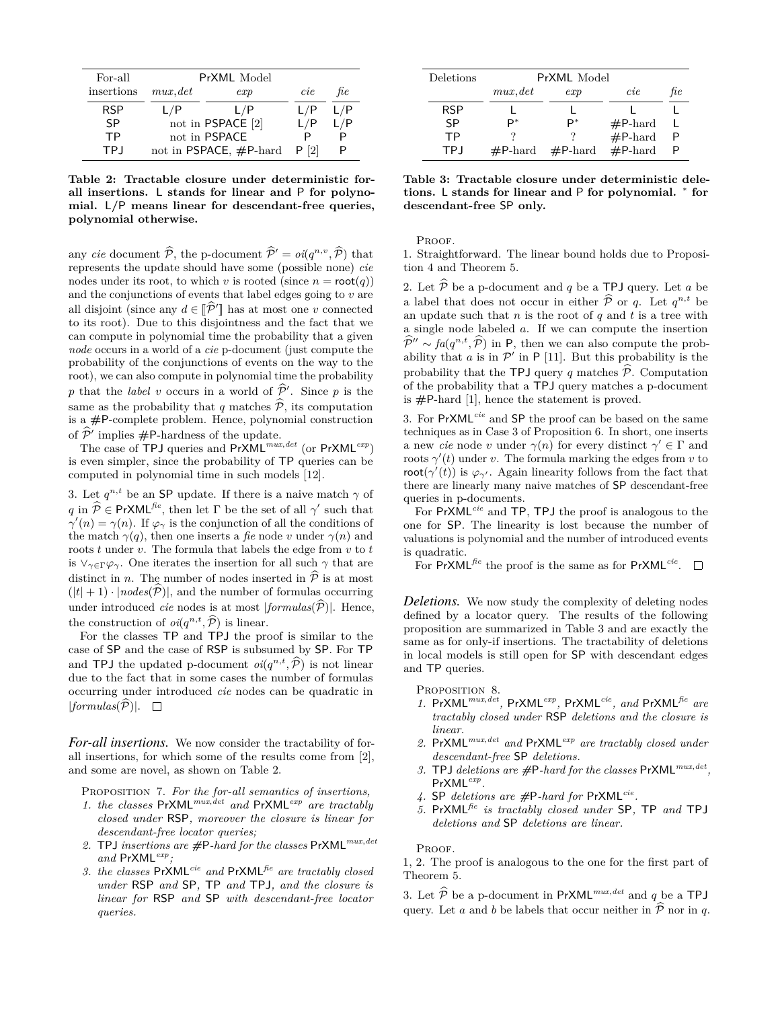| For-all    | PrXML Model               |     |      |     |
|------------|---------------------------|-----|------|-----|
| insertions | mux, det                  | exp | cie  | ħе  |
| <b>RSP</b> | L/P                       | L/P | L/P  | L/P |
| SP         | not in PSPACE [2]         |     | L/P  | L/P |
| <b>TP</b>  | not in PSPACE             |     |      |     |
| <b>TP</b>  | not in PSPACE, $#P$ -hard |     | P[2] |     |

**Table 2: Tractable closure under deterministic forall insertions.** L **stands for linear and** P **for polynomial.** L**/**P **means linear for descendant-free queries, polynomial otherwise.**

any *cie* document  $\widehat{\mathcal{P}}$ , the p-document  $\widehat{\mathcal{P}}' = oi(q^{n,v}, \widehat{\mathcal{P}})$  that represents the update should have some (possible none) *cie* nodes under its root, to which *v* is rooted (since  $n = \text{root}(q)$ ) and the conjunctions of events that label edges going to *v* are all disjoint (since any  $d \in [\hat{P}^{\prime}]$  has at most one *v* connected<br>to its root). Due to this disjointness and the fact that we to its root). Due to this disjointness and the fact that we can compute in polynomial time the probability that a given *node* occurs in a world of a *cie* p-document (just compute the probability of the conjunctions of events on the way to the root), we can also compute in polynomial time the probability *p* that the *label v* occurs in a world of  $\hat{P}$ <sup>*'*</sup>. Since *p* is the same as the probability that *q* matches  $\hat{\mathcal{P}}$ , its computation is a **#**P-complete problem. Hence, polynomial construction of  $\hat{\mathcal{P}}'$  implies  $\#\mathsf{P}\text{-hardness}$  of the update.<br>The gase of  $\text{TP}$  Lemming and  $\text{RxM1}$   $^{mu}$ 

The case of TPJ queries and PrXML*mux,det* (or PrXML*exp*) is even simpler, since the probability of TP queries can be computed in polynomial time in such models [12].

3. Let  $q^{n,t}$  be an SP update. If there is a naive match  $\gamma$  of  $q$  in  $\hat{\mathcal{P}} \in \text{PrXML}^{f,e}$ , then let  $\Gamma$  be the set of all  $\gamma'$  such that  $\gamma'(n) = \gamma(n)$ . If  $\varphi_{\gamma}$  is the conjunction of all the conditions of the match  $\gamma(q)$ , then one inserts a *fie* node *v* under  $\gamma(n)$  and roots *t* under *v*. The formula that labels the edge from *v* to *t* is  $\vee_{\gamma \in \Gamma} \varphi_{\gamma}$ . One iterates the insertion for all such  $\gamma$  that are distinct in *n*. The number of nodes inserted in  $\hat{P}$  is at most  $(|t| + 1) \cdot |nodes(\widehat{P})|$ , and the number of formulas occurring under introduced *cie* nodes is at most  $|formulas(\widehat{P})|$ . Hence, the construction of  $oi(q^{n,t}, \hat{P})$  is linear.<br>For the classes  $\text{TP}$  and  $\text{TP}$  the property

For the classes TP and TPJ the proof is similar to the case of SP and the case of RSP is subsumed by SP. For TP and **TPJ** the updated p-document  $oi(q^{n,t}, \hat{P})$  is not linear due to the fact that in some cases the number of formulas occurring under introduced *cie* nodes can be quadratic in  $|formulas(\widehat{P})|$ .  $\Box$ 

*For-all insertions.* We now consider the tractability of forall insertions, for which some of the results come from [2], and some are novel, as shown on Table 2.

Proposition 7. *For the for-all semantics of insertions,*

- *1. the classes* PrXML*mux,det and* PrXML*exp are tractably closed under* RSP*, moreover the closure is linear for descendant-free locator queries;*
- *2.* TPJ *insertions are #*P*-hard for the classes* PrXML*mux,det and* PrXML*exp;*
- *3. the classes* PrXML*cie and* PrXML*fie are tractably closed under* RSP *and* SP*,* TP *and* TPJ*, and the closure is linear for* RSP *and* SP *with descendant-free locator queries.*

| Deletions  | PrXML Model |                   |            |     |  |
|------------|-------------|-------------------|------------|-----|--|
|            | mux, det    | exp               | cie        | fie |  |
| <b>RSP</b> |             |                   |            |     |  |
| <b>SP</b>  | D*          | P*                | $#P$ -hard |     |  |
| <b>TP</b>  |             |                   | $#P$ -hard |     |  |
| TP.I       | $#P$ -hard  | $\#P\text{-hard}$ | $#P$ -hard |     |  |

**Table 3: Tractable closure under deterministic deletions.** L **stands for linear and** P **for polynomial.** *<sup>∗</sup>* **for descendant-free** SP **only.**

PROOF.

1. Straightforward. The linear bound holds due to Proposition 4 and Theorem 5.

2. Let  $\widehat{\mathcal{P}}$  be a p-document and *q* be a TPJ query. Let *a* be a label that does not occur in either  $\hat{p}$  or *q*. Let  $q^{n,t}$  be on undetectors with the next of  $q$  and t is a tree with an update such that *n* is the root of  $q$  and  $t$  is a tree with a single node labeled *a*. If we can compute the insertion  $\hat{\mathcal{P}}^{\prime\prime} \sim fa(q^{n,t}, \hat{\mathcal{P}})$  in P, then we can also compute the probability that *a* is in  $\mathcal{P}^{\prime}$  in P [11]. But this probability is the probability that the TPJ query *q* matches  $\hat{\mathcal{P}}$ . Computation of the probability that a TPJ query matches a p-document is **#**P-hard [1], hence the statement is proved.

3. For PrXML*cie* and SP the proof can be based on the same techniques as in Case 3 of Proposition 6. In short, one inserts a new *cie* node *v* under  $\gamma(n)$  for every distinct  $\gamma' \in \Gamma$  and roots  $\gamma'(t)$  under *v*. The formula marking the edges from *v* to root( $\gamma'(t)$ ) is  $\varphi_{\gamma'}$ . Again linearity follows from the fact that there are linearly many naive matches of SP descendant-free queries in p-documents.

For PrXML*cie* and TP, TPJ the proof is analogous to the one for SP. The linearity is lost because the number of valuations is polynomial and the number of introduced events is quadratic.

For PrXML*fie* the proof is the same as for PrXML*cie* .

*Deletions.* We now study the complexity of deleting nodes defined by a locator query. The results of the following proposition are summarized in Table 3 and are exactly the same as for only-if insertions. The tractability of deletions in local models is still open for SP with descendant edges and TP queries.

PROPOSITION 8.

- *1.* PrXML*mux,det ,* PrXML*exp ,* PrXML*cie, and* PrXML*fie are tractably closed under* RSP *deletions and the closure is linear.*
- *2.* PrXML*mux,det and* PrXML*exp are tractably closed under descendant-free* SP *deletions.*
- *3.* TPJ *deletions are #*P*-hard for the classes* PrXML*mux,det ,* PrXML*exp .*
- *4.* SP *deletions are #*P*-hard for* PrXML*cie .*
- *5.* PrXML*fie is tractably closed under* SP*,* TP *and* TPJ *deletions and* SP *deletions are linear.*

P<sub>ROOF</sub>

1, 2. The proof is analogous to the one for the first part of Theorem 5.

3. Let  $\widehat{\mathcal{P}}$  be a p-document in PrXML<sup>*mux<sub></sub>,det*</sup> and *q* be a TPJ query. Let *a* and *b* be labels that occur neither in  $\hat{P}$  nor in *q*.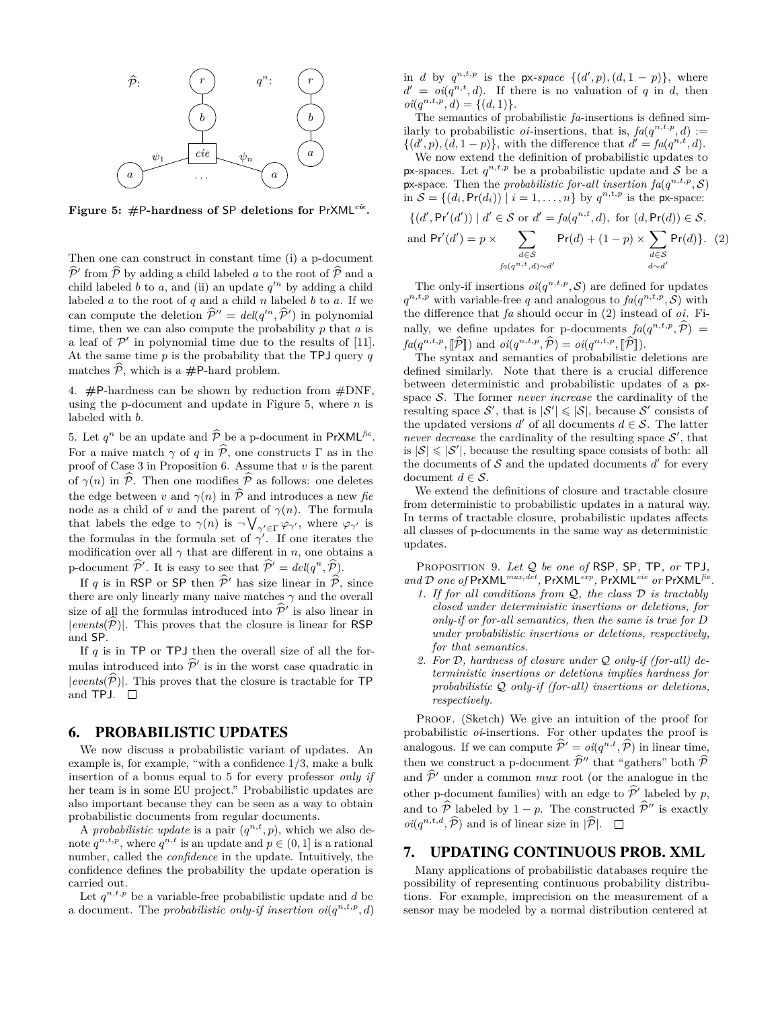

**Figure 5: #**P**-hardness of** SP **deletions for** PrXML*cie* **.**

Then one can construct in constant time (i) a p-document  $\hat{\mathcal{P}}'$  from  $\hat{\mathcal{P}}$  by adding a child labeled *a* to the root of  $\hat{\mathcal{P}}$  and a child labeled *b* to a and (ii) an undate  $e'^n$  by adding a child child labeled *b* to *a*, and (ii) an update  $q^{\prime n}$  by adding a child labeled  $a$  to the root of  $q$  and a child  $n$  labeled  $b$  to  $a$ . If we can compute the deletion  $\hat{\mathcal{P}}'' = \text{del}(q'^n, \hat{\mathcal{P}}')$  in polynomial time, then we can also compute the probability *p* that *a* is a leaf of  $\mathcal{P}'$  in polynomial time due to the results of [11]. At the same time *p* is the probability that the TPJ query *q* matches  $\widehat{\mathcal{P}}$ , which is a #P-hard problem.

4. **#**P-hardness can be shown by reduction from #DNF, using the p-document and update in Figure 5, where *n* is labeled with *b*.

5. Let  $q^n$  be an update and  $\widehat{P}$  be a p-document in PrXML<sup>fie</sup>. For a naive match  $\gamma$  of q in  $\hat{\mathcal{P}}$ , one constructs  $\Gamma$  as in the proof of Case 3 in Proposition 6. Assume that *v* is the parent of  $\gamma(n)$  in  $\hat{P}$ . Then one modifies  $\hat{P}$  as follows: one deletes the edge between *v* and  $\gamma(n)$  in  $\hat{\mathcal{P}}$  and introduces a new *fie* node as a child of *v* and the parent of  $\gamma(n)$ . The formula that labels the edge to  $\gamma(n)$  is  $\neg \bigvee_{\gamma' \in \Gamma} \varphi_{\gamma'}$ , where  $\varphi_{\gamma'}$  is the formulas in the formula set of  $\gamma'$ . If one iterates the modification over all  $\gamma$  that are different in *n*, one obtains a p-document  $\widehat{\mathcal{P}}'$ . It is easy to see that  $\widehat{\mathcal{P}}' = \text{del}(q^n, \widehat{\mathcal{P}})$ .

If *q* is in RSP or SP then  $\hat{\mathcal{P}}'$  has size linear in  $\hat{\mathcal{P}}$ , since there are only linearly many naive matches  $\gamma$  and the overall size of all the formulas introduced into  $\hat{\mathcal{P}}'$  is also linear in<br>levented  $\hat{\mathcal{D}}$ <sup>1</sup>. This preves that the elecune is linear for **PSB**  $|events(*P*)|$ . This proves that the closure is linear for RSP and SP.

If *q* is in TP or TPJ then the overall size of all the formulas introduced into  $\hat{\mathcal{P}}'$  is in the worst case quadratic in  $|events(\widehat{P})|$ . This proves that the closure is tractable for TP and TPJ.  $\Box$ 

## 6. PROBABILISTIC UPDATES

We now discuss a probabilistic variant of updates. An example is, for example, "with a confidence 1/3, make a bulk insertion of a bonus equal to 5 for every professor *only if* her team is in some EU project." Probabilistic updates are also important because they can be seen as a way to obtain probabilistic documents from regular documents.

A *probabilistic update* is a pair  $(q^{n,t}, p)$ , which we also denote  $q^{n,t,p}$ , where  $q^{n,t}$  is an update and  $p \in (0,1]$  is a rational number, called the *confidence* in the update. Intuitively, the confidence defines the probability the update operation is carried out.

Let  $q^{n,t,p}$  be a variable-free probabilistic update and  $d$  be a document. The *probabilistic only-if insertion*  $oi(q^{n,t,p}, d)$  in *d* by  $q^{n,t,p}$  is the px-space  $\{(d',p),(d,1-p)\}$ , where  $d' = oi(q^{n,t}, d)$ . If there is no valuation of *q* in *d*, then  $oi(q^{n,t,p}, d) = \{(d, 1)\}.$ 

The semantics of probabilistic *fa*-insertions is defined similarly to probabilistic *oi*-insertions, that is,  $fa(q^{n,t,p}, d) :=$  $\{(d', p), (d, 1-p)\},\$  with the difference that  $d' = fa(q^{n,t}, d).$ 

We now extend the definition of probabilistic updates to px-spaces. Let  $q^{n,t,p}$  be a probabilistic update and *S* be a px-space. Then the *probabilistic for-all insertion*  $fa(q^{n,t,p}, \mathcal{S})$ in  $S = \{(d_i, \text{Pr}(d_i)) \mid i = 1, ..., n\}$  by  $q^{n, t, p}$  is the px-space:

$$
\{(d', \Pr'(d')) \mid d' \in \mathcal{S} \text{ or } d' = fa(q^{n,t}, d), \text{ for } (d, \Pr(d)) \in \mathcal{S},
$$
  
and 
$$
\Pr'(d') = p \times \sum_{d \in \mathcal{S}} \Pr(d) + (1 - p) \times \sum_{d \in \mathcal{S}} \Pr(d)\}. (2)
$$
  

$$
fa(q^{n,t}, d) \sim d'
$$

The only-if insertions  $oi(q^{n,t,p}, \mathcal{S})$  are defined for updates  $q^{n,t,p}$  with variable-free *q* and analogous to  $fa(q^{n,t,p}, \mathcal{S})$  with the difference that *fa* should occur in (2) instead of *oi*. Finally, we define updates for p-documents  $f_a(q^{n,t,p}, \hat{p}) =$  $fa(q^{n,t,p}, \hat{p})$  and  $oi(q^{n,t,p}, \hat{p}) = oi(q^{n,t,p}, \hat{p})$ .<br>The syntax and comantics of probabilistic d

The syntax and semantics of probabilistic deletions are defined similarly. Note that there is a crucial difference between deterministic and probabilistic updates of a pxspace *S*. The former *never increase* the cardinality of the resulting space  $S'$ , that is  $|S'| \leq |S|$ , because  $S'$  consists of the updated versions  $d'$  of all documents  $d \in \mathcal{S}$ . The latter *never decrease* the cardinality of the resulting space  $S'$ , that is  $|\mathcal{S}| \leq |\mathcal{S}'|$ , because the resulting space consists of both: all the documents of  $S$  and the updated documents  $d'$  for every document  $d \in \mathcal{S}$ .

We extend the definitions of closure and tractable closure from deterministic to probabilistic updates in a natural way. In terms of tractable closure, probabilistic updates affects all classes of p-documents in the same way as deterministic updates.

Proposition 9. *Let Q be one of* RSP*,* SP*,* TP*, or* TPJ*,* and  $D$  one of PrXML<sup>*mux<sub></sub>, det*</sup>, PrXML<sup>*exp*</sup>, PrXML<sup>*cie*</sup> or PrXML<sup>fie</sup>.

- *1. If for all conditions from Q, the class D is tractably closed under deterministic insertions or deletions, for only-if or for-all semantics, then the same is true for D under probabilistic insertions or deletions, respectively, for that semantics.*
- *2. For D, hardness of closure under Q only-if (for-all) deterministic insertions or deletions implies hardness for probabilistic Q only-if (for-all) insertions or deletions, respectively.*

PROOF. (Sketch) We give an intuition of the proof for probabilistic *oi*-insertions. For other updates the proof is analogous. If we can compute  $\hat{\mathcal{P}}' = oi(q^{n,t}, \hat{\mathcal{P}})$  in linear time, then we construct a p-document  $\widehat{\mathcal{P}}^{\prime\prime}$  that "gathers" both  $\widehat{\mathcal{P}}$ and  $\hat{\mathcal{P}}'$  under a common *mux* root (or the analogue in the other p-document families) with an edge to  $\hat{\mathcal{P}}'$  labeled by *p*, and to  $\widehat{\mathcal{P}}$  labeled by 1 *− p*. The constructed  $\widehat{\mathcal{P}}$ <sup>*n*</sup> is exactly  $oi(q^{n,t,d}, \hat{P})$  and is of linear size in  $|\hat{P}|$ .

#### 7. UPDATING CONTINUOUS PROB. XML

Many applications of probabilistic databases require the possibility of representing continuous probability distributions. For example, imprecision on the measurement of a sensor may be modeled by a normal distribution centered at